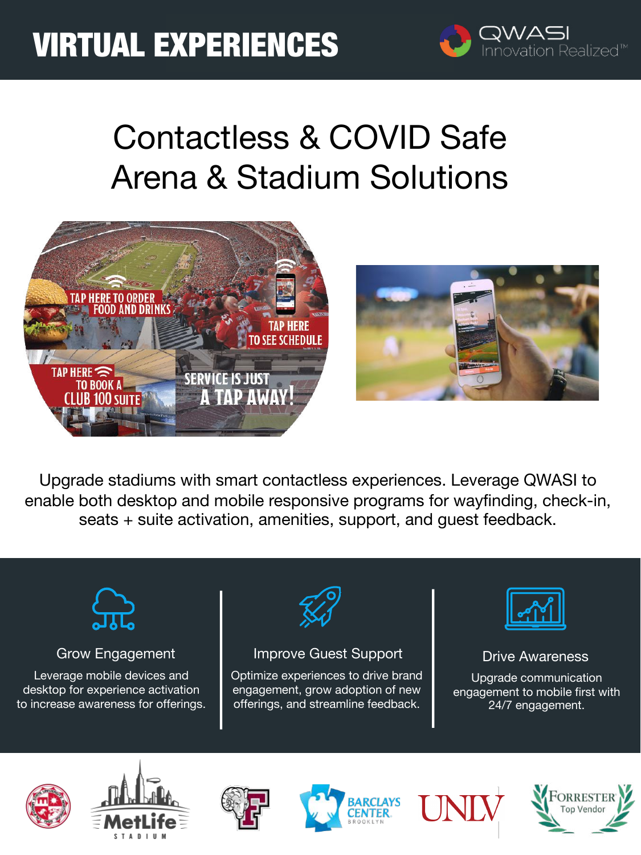# VIRTUAL EXPERIENCES



# Contactless & COVID Safe Arena & Stadium Solutions



Upgrade stadiums with smart contactless experiences. Leverage QWASI to enable both desktop and mobile responsive programs for wayfinding, check-in, seats + suite activation, amenities, support, and guest feedback.



### Grow Engagement

Leverage mobile devices and desktop for experience activation to increase awareness for offerings.



### Improve Guest Support

Optimize experiences to drive brand engagement, grow adoption of new offerings, and streamline feedback.



### Drive Awareness

Upgrade communication engagement to mobile first with 24/7 engagement.